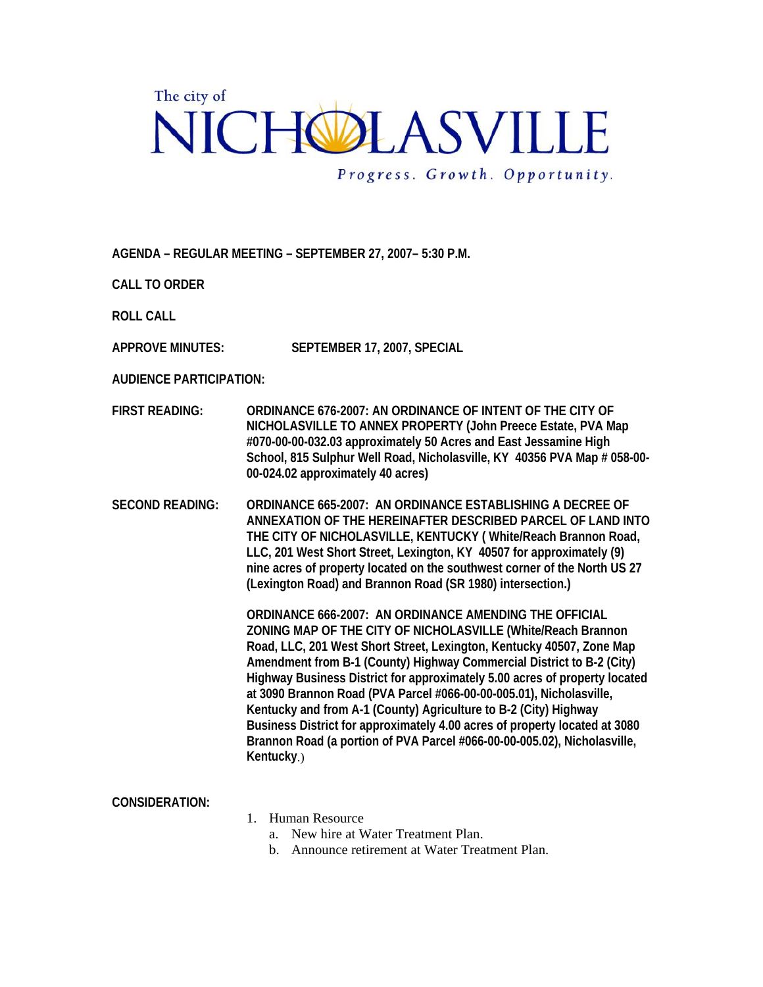## The city of NICHOLASVILLE Progress. Growth. Opportunity.

**AGENDA – REGULAR MEETING – SEPTEMBER 27, 2007– 5:30 P.M.** 

**CALL TO ORDER** 

**ROLL CALL** 

**APPROVE MINUTES: SEPTEMBER 17, 2007, SPECIAL** 

**AUDIENCE PARTICIPATION:** 

- **FIRST READING: ORDINANCE 676-2007: AN ORDINANCE OF INTENT OF THE CITY OF NICHOLASVILLE TO ANNEX PROPERTY (John Preece Estate, PVA Map #070-00-00-032.03 approximately 50 Acres and East Jessamine High School, 815 Sulphur Well Road, Nicholasville, KY 40356 PVA Map # 058-00- 00-024.02 approximately 40 acres)**
- **SECOND READING: ORDINANCE 665-2007: AN ORDINANCE ESTABLISHING A DECREE OF ANNEXATION OF THE HEREINAFTER DESCRIBED PARCEL OF LAND INTO THE CITY OF NICHOLASVILLE, KENTUCKY ( White/Reach Brannon Road, LLC, 201 West Short Street, Lexington, KY 40507 for approximately (9) nine acres of property located on the southwest corner of the North US 27 (Lexington Road) and Brannon Road (SR 1980) intersection.)**

**ORDINANCE 666-2007: AN ORDINANCE AMENDING THE OFFICIAL ZONING MAP OF THE CITY OF NICHOLASVILLE (White/Reach Brannon Road, LLC, 201 West Short Street, Lexington, Kentucky 40507, Zone Map Amendment from B-1 (County) Highway Commercial District to B-2 (City) Highway Business District for approximately 5.00 acres of property located at 3090 Brannon Road (PVA Parcel #066-00-00-005.01), Nicholasville, Kentucky and from A-1 (County) Agriculture to B-2 (City) Highway Business District for approximately 4.00 acres of property located at 3080 Brannon Road (a portion of PVA Parcel #066-00-00-005.02), Nicholasville, Kentucky**.)

|                       | Highway Business District for approximately 5.00 acres of property locat<br>at 3090 Brannon Road (PVA Parcel #066-00-00-005.01), Nicholasville,<br>Kentucky and from A-1 (County) Agriculture to B-2 (City) Highway<br>Business District for approximately 4.00 acres of property located at 308<br>Brannon Road (a portion of PVA Parcel #066-00-00-005.02), Nicholasville<br>Kentucky.) |
|-----------------------|-------------------------------------------------------------------------------------------------------------------------------------------------------------------------------------------------------------------------------------------------------------------------------------------------------------------------------------------------------------------------------------------|
| <b>CONSIDERATION:</b> | Human Resource<br>New hire at Water Treatment Plan.<br>Announce retirement at Water Treatment Plan.<br>h.                                                                                                                                                                                                                                                                                 |